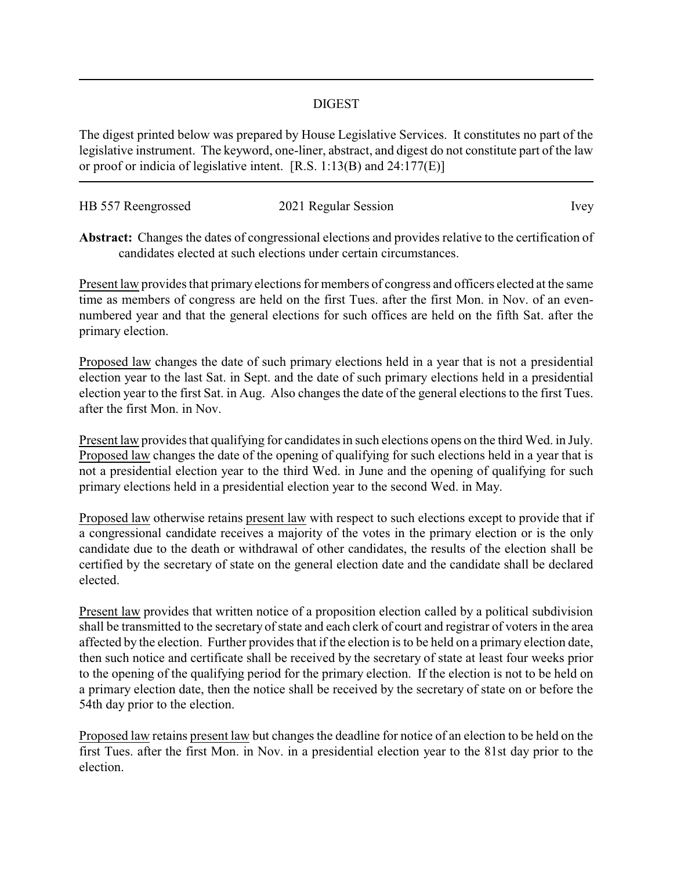## DIGEST

The digest printed below was prepared by House Legislative Services. It constitutes no part of the legislative instrument. The keyword, one-liner, abstract, and digest do not constitute part of the law or proof or indicia of legislative intent. [R.S. 1:13(B) and 24:177(E)]

| HB 557 Reengrossed | 2021 Regular Session | Ivey |
|--------------------|----------------------|------|
|                    |                      |      |

**Abstract:** Changes the dates of congressional elections and provides relative to the certification of candidates elected at such elections under certain circumstances.

Present law provides that primary elections for members of congress and officers elected at the same time as members of congress are held on the first Tues. after the first Mon. in Nov. of an evennumbered year and that the general elections for such offices are held on the fifth Sat. after the primary election.

Proposed law changes the date of such primary elections held in a year that is not a presidential election year to the last Sat. in Sept. and the date of such primary elections held in a presidential election year to the first Sat. in Aug. Also changes the date of the general elections to the first Tues. after the first Mon. in Nov.

Present law provides that qualifying for candidates in such elections opens on the third Wed. in July. Proposed law changes the date of the opening of qualifying for such elections held in a year that is not a presidential election year to the third Wed. in June and the opening of qualifying for such primary elections held in a presidential election year to the second Wed. in May.

Proposed law otherwise retains present law with respect to such elections except to provide that if a congressional candidate receives a majority of the votes in the primary election or is the only candidate due to the death or withdrawal of other candidates, the results of the election shall be certified by the secretary of state on the general election date and the candidate shall be declared elected.

Present law provides that written notice of a proposition election called by a political subdivision shall be transmitted to the secretary of state and each clerk of court and registrar of voters in the area affected by the election. Further provides that if the election is to be held on a primary election date, then such notice and certificate shall be received by the secretary of state at least four weeks prior to the opening of the qualifying period for the primary election. If the election is not to be held on a primary election date, then the notice shall be received by the secretary of state on or before the 54th day prior to the election.

Proposed law retains present law but changes the deadline for notice of an election to be held on the first Tues. after the first Mon. in Nov. in a presidential election year to the 81st day prior to the election.